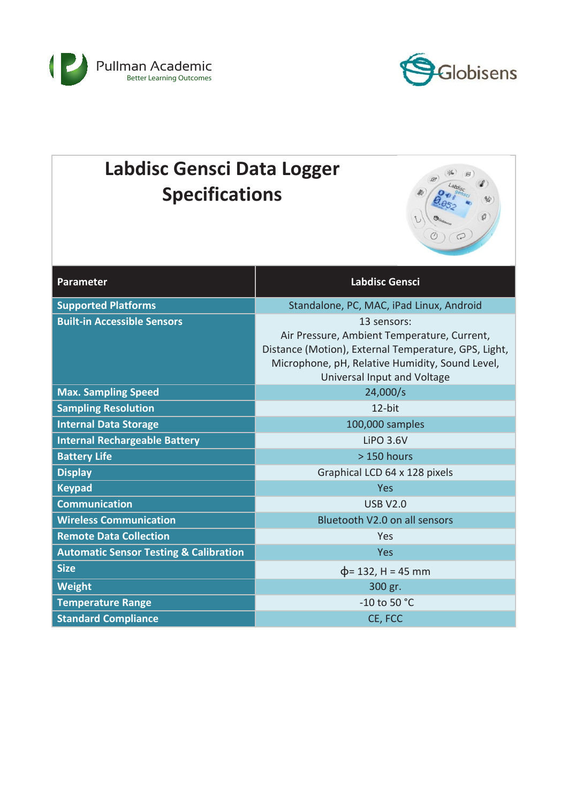



| <b>Labdisc Gensci Data Logger</b><br><b>Specifications</b>       |                                                                                                                                                                                                      |  |
|------------------------------------------------------------------|------------------------------------------------------------------------------------------------------------------------------------------------------------------------------------------------------|--|
| <b>Parameter</b>                                                 | <b>Labdisc Gensci</b>                                                                                                                                                                                |  |
| <b>Supported Platforms</b>                                       | Standalone, PC, MAC, iPad Linux, Android                                                                                                                                                             |  |
| <b>Built-in Accessible Sensors</b>                               | 13 sensors:<br>Air Pressure, Ambient Temperature, Current,<br>Distance (Motion), External Temperature, GPS, Light,<br>Microphone, pH, Relative Humidity, Sound Level,<br>Universal Input and Voltage |  |
| <b>Max. Sampling Speed</b>                                       | 24,000/s                                                                                                                                                                                             |  |
| <b>Sampling Resolution</b>                                       | 12-bit                                                                                                                                                                                               |  |
| <b>Internal Data Storage</b>                                     | 100,000 samples                                                                                                                                                                                      |  |
| <b>Internal Rechargeable Battery</b>                             | <b>LiPO 3.6V</b>                                                                                                                                                                                     |  |
| <b>Battery Life</b>                                              | $>150$ hours                                                                                                                                                                                         |  |
| <b>Display</b>                                                   | Graphical LCD 64 x 128 pixels                                                                                                                                                                        |  |
| <b>Keypad</b>                                                    | Yes                                                                                                                                                                                                  |  |
| <b>Communication</b>                                             | <b>USB V2.0</b>                                                                                                                                                                                      |  |
| <b>Wireless Communication</b>                                    | Bluetooth V2.0 on all sensors                                                                                                                                                                        |  |
| <b>Remote Data Collection</b>                                    | Yes<br>Yes                                                                                                                                                                                           |  |
| <b>Automatic Sensor Testing &amp; Calibration</b><br><b>Size</b> |                                                                                                                                                                                                      |  |
|                                                                  | $\phi$ = 132, H = 45 mm                                                                                                                                                                              |  |
| Weight                                                           | 300 gr.<br>$-10$ to 50 $^{\circ}$ C                                                                                                                                                                  |  |
| <b>Temperature Range</b><br><b>Standard Compliance</b>           |                                                                                                                                                                                                      |  |
|                                                                  | CE, FCC                                                                                                                                                                                              |  |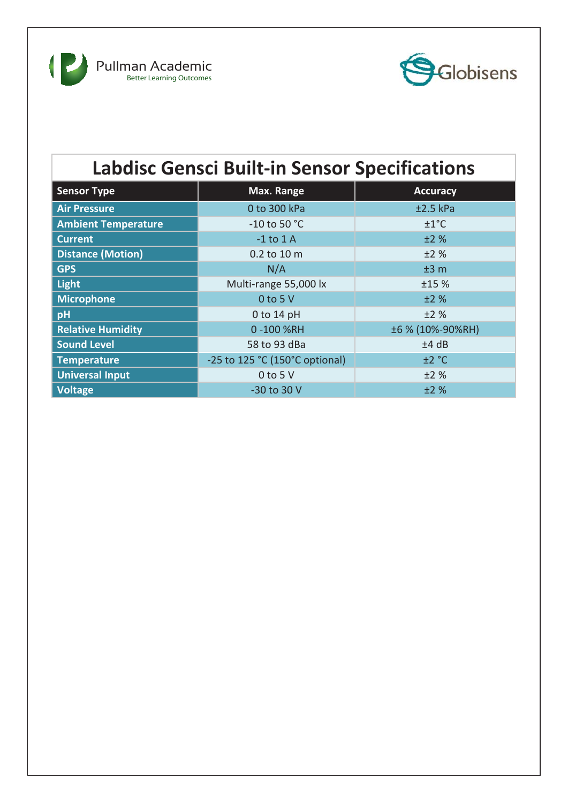



## **Labdisc Gensci Built-in Sensor Specifications**

| <b>Sensor Type</b>         | Max. Range                     | <b>Accuracy</b>  |
|----------------------------|--------------------------------|------------------|
| <b>Air Pressure</b>        | 0 to 300 kPa                   | $±2.5$ kPa       |
| <b>Ambient Temperature</b> | $-10$ to 50 $^{\circ}$ C       | ±1°C             |
| <b>Current</b>             | $-1$ to $1$ A                  | ±2%              |
| <b>Distance (Motion)</b>   | 0.2 to 10 m                    | ±2%              |
| <b>GPS</b>                 | N/A                            | ±3 m             |
| <b>Light</b>               | Multi-range 55,000 lx          | ±15%             |
| <b>Microphone</b>          | $0$ to 5 V                     | ±2%              |
| pH                         | $0$ to 14 pH                   | ±2%              |
| <b>Relative Humidity</b>   | 0-100%RH                       | ±6 % (10%-90%RH) |
| <b>Sound Level</b>         | 58 to 93 dBa                   | ±4 dB            |
| <b>Temperature</b>         | -25 to 125 °C (150°C optional) | ±2 °C            |
| <b>Universal Input</b>     | $0$ to 5 V                     | ±2%              |
| <b>Voltage</b>             | -30 to 30 V                    | ±2%              |